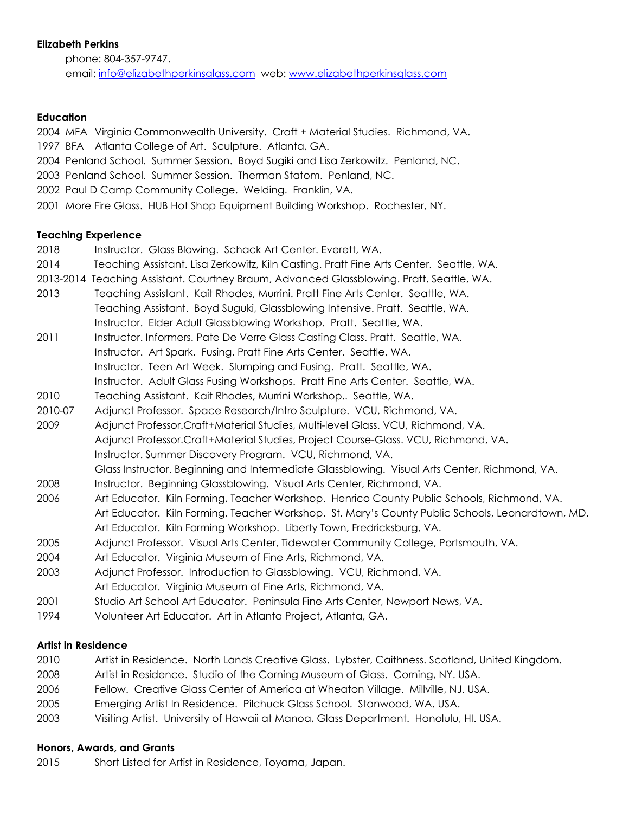### **Elizabeth Perkins**

phone: 804-357-9747. email: [info@elizabethperkinsglass.com](mailto:info@elizabethperkinsglass.com) web: [www.elizabethperkinsglass.com](http://www.elizabethperkinsglass.com/)

### **Education**

2004 MFA Virginia Commonwealth University. Craft + Material Studies. Richmond, VA. 1997 BFA Atlanta College of Art. Sculpture. Atlanta, GA.

- 2004 Penland School. Summer Session. Boyd Sugiki and Lisa Zerkowitz. Penland, NC.
- 2003 Penland School. Summer Session. Therman Statom. Penland, NC.
- 2002 Paul D Camp Community College. Welding. Franklin, VA.
- 2001 More Fire Glass. HUB Hot Shop Equipment Building Workshop. Rochester, NY.

### **Teaching Experience**

- 2018 Instructor. Glass Blowing. Schack Art Center. Everett, WA.
- 2014 Teaching Assistant. Lisa Zerkowitz, Kiln Casting. Pratt Fine Arts Center. Seattle, WA.
- 2013-2014 Teaching Assistant. Courtney Braum, Advanced Glassblowing. Pratt. Seattle, WA.
- 2013 Teaching Assistant. Kait Rhodes, Murrini. Pratt Fine Arts Center. Seattle, WA. Teaching Assistant. Boyd Suguki, Glassblowing Intensive. Pratt. Seattle, WA. Instructor. Elder Adult Glassblowing Workshop. Pratt. Seattle, WA.
- 2011 Instructor. Informers. Pate De Verre Glass Casting Class. Pratt. Seattle, WA. Instructor. Art Spark. Fusing. Pratt Fine Arts Center. Seattle, WA. Instructor. Teen Art Week. Slumping and Fusing. Pratt. Seattle, WA. Instructor. Adult Glass Fusing Workshops. Pratt Fine Arts Center. Seattle, WA.
- 2010 Teaching Assistant. Kait Rhodes, Murrini Workshop.. Seattle, WA.
- 2010-07 Adjunct Professor. Space Research/Intro Sculpture. VCU, Richmond, VA.
- 2009 Adjunct Professor.Craft+Material Studies, Multi-level Glass. VCU, Richmond, VA. Adjunct Professor.Craft+Material Studies, Project Course-Glass. VCU, Richmond, VA. Instructor. Summer Discovery Program. VCU, Richmond, VA. Glass Instructor. Beginning and Intermediate Glassblowing. Visual Arts Center, Richmond, VA.
- 2008 Instructor. Beginning Glassblowing. Visual Arts Center, Richmond, VA.
- 2006 Art Educator. Kiln Forming, Teacher Workshop. Henrico County Public Schools, Richmond, VA. Art Educator. Kiln Forming, Teacher Workshop. St. Mary's County Public Schools, Leonardtown, MD. Art Educator. Kiln Forming Workshop. Liberty Town, Fredricksburg, VA.
- 2005 Adjunct Professor. Visual Arts Center, Tidewater Community College, Portsmouth, VA.
- 2004 Art Educator. Virginia Museum of Fine Arts, Richmond, VA.
- 2003 Adjunct Professor. Introduction to Glassblowing. VCU, Richmond, VA.
- Art Educator. Virginia Museum of Fine Arts, Richmond, VA.
- 2001 Studio Art School Art Educator. Peninsula Fine Arts Center, Newport News, VA.
- 1994 Volunteer Art Educator. Art in Atlanta Project, Atlanta, GA.

### **Artist in Residence**

- 2010 Artist in Residence. North Lands Creative Glass. Lybster, Caithness. Scotland, United Kingdom.
- 2008 Artist in Residence. Studio of the Corning Museum of Glass. Corning, NY. USA.
- 2006 Fellow. Creative Glass Center of America at Wheaton Village. Millville, NJ. USA.
- 2005 Emerging Artist In Residence. Pilchuck Glass School. Stanwood, WA. USA.
- 2003 Visiting Artist. University of Hawaii at Manoa, Glass Department. Honolulu, HI. USA.

### **Honors, Awards, and Grants**

2015 Short Listed for Artist in Residence, Toyama, Japan.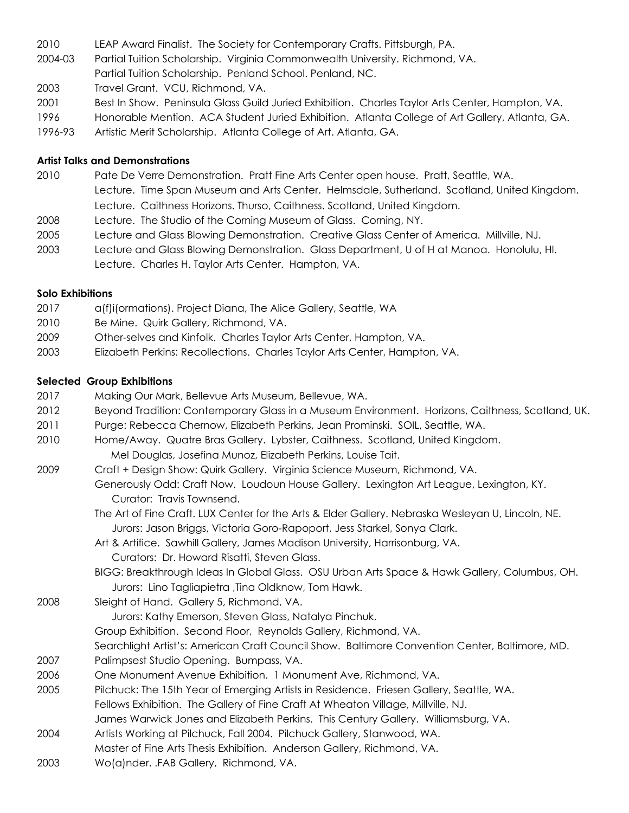- 2010 LEAP Award Finalist. The Society for Contemporary Crafts. Pittsburgh, PA.
- 2004-03 Partial Tuition Scholarship. Virginia Commonwealth University. Richmond, VA. Partial Tuition Scholarship. Penland School. Penland, NC.
- 2003 Travel Grant. VCU, Richmond, VA.
- 2001 Best In Show. Peninsula Glass Guild Juried Exhibition. Charles Taylor Arts Center, Hampton, VA.
- 1996 Honorable Mention. ACA Student Juried Exhibition. Atlanta College of Art Gallery, Atlanta, GA.
- 1996-93 Artistic Merit Scholarship. Atlanta College of Art. Atlanta, GA.

### **Artist Talks and Demonstrations**

- 2010 Pate De Verre Demonstration. Pratt Fine Arts Center open house. Pratt, Seattle, WA. Lecture. Time Span Museum and Arts Center. Helmsdale, Sutherland. Scotland, United Kingdom. Lecture. Caithness Horizons. Thurso, Caithness. Scotland, United Kingdom.
- 2008 Lecture. The Studio of the Corning Museum of Glass. Corning, NY.
- 2005 Lecture and Glass Blowing Demonstration. Creative Glass Center of America. Millville, NJ.
- 2003 Lecture and Glass Blowing Demonstration. Glass Department, U of H at Manoa. Honolulu, HI. Lecture. Charles H. Taylor Arts Center. Hampton, VA.

### **Solo Exhibitions**

- 2017 a(f)i(ormations). Project Diana, The Alice Gallery, Seattle, WA
- 2010 Be Mine. Quirk Gallery, Richmond, VA.
- 2009 Other-selves and Kinfolk. Charles Taylor Arts Center, Hampton, VA.
- 2003 Elizabeth Perkins: Recollections. Charles Taylor Arts Center, Hampton, VA.

### **Selected Group Exhibitions**

- 2017 Making Our Mark, Bellevue Arts Museum, Bellevue, WA.
- 2012 Beyond Tradition: Contemporary Glass in a Museum Environment. Horizons, Caithness, Scotland, UK.
- 2011 Purge: Rebecca Chernow, Elizabeth Perkins, Jean Prominski. SOIL, Seattle, WA.
- 2010 Home/Away. Quatre Bras Gallery. Lybster, Caithness. Scotland, United Kingdom. Mel Douglas, Josefina Munoz, Elizabeth Perkins, Louise Tait.
- 2009 Craft + Design Show: Quirk Gallery. Virginia Science Museum, Richmond, VA.
	- Generously Odd: Craft Now. Loudoun House Gallery. Lexington Art League, Lexington, KY. Curator: Travis Townsend.
		- The Art of Fine Craft. LUX Center for the Arts & Elder Gallery. Nebraska Wesleyan U, Lincoln, NE. Jurors: Jason Briggs, Victoria Goro-Rapoport, Jess Starkel, Sonya Clark.
		- Art & Artifice. Sawhill Gallery, James Madison University, Harrisonburg, VA. Curators: Dr. Howard Risatti, Steven Glass.
		- BIGG: Breakthrough Ideas In Global Glass. OSU Urban Arts Space & Hawk Gallery, Columbus, OH. Jurors: Lino Tagliapietra ,Tina Oldknow, Tom Hawk.
- 2008 Sleight of Hand. Gallery 5, Richmond, VA.
	- Jurors: Kathy Emerson, Steven Glass, Natalya Pinchuk.
	- Group Exhibition. Second Floor, Reynolds Gallery, Richmond, VA.
	- Searchlight Artist's: American Craft Council Show. Baltimore Convention Center, Baltimore, MD.
- 2007 Palimpsest Studio Opening. Bumpass, VA.
- 2006 One Monument Avenue Exhibition. 1 Monument Ave, Richmond, VA.
- 2005 Pilchuck: The 15th Year of Emerging Artists in Residence. Friesen Gallery, Seattle, WA.
- Fellows Exhibition. The Gallery of Fine Craft At Wheaton Village, Millville, NJ.
- James Warwick Jones and Elizabeth Perkins. This Century Gallery. Williamsburg, VA.
- 2004 Artists Working at Pilchuck, Fall 2004. Pilchuck Gallery, Stanwood, WA.
- Master of Fine Arts Thesis Exhibition. Anderson Gallery, Richmond, VA.
- 2003 Wo(a)nder. .FAB Gallery, Richmond, VA.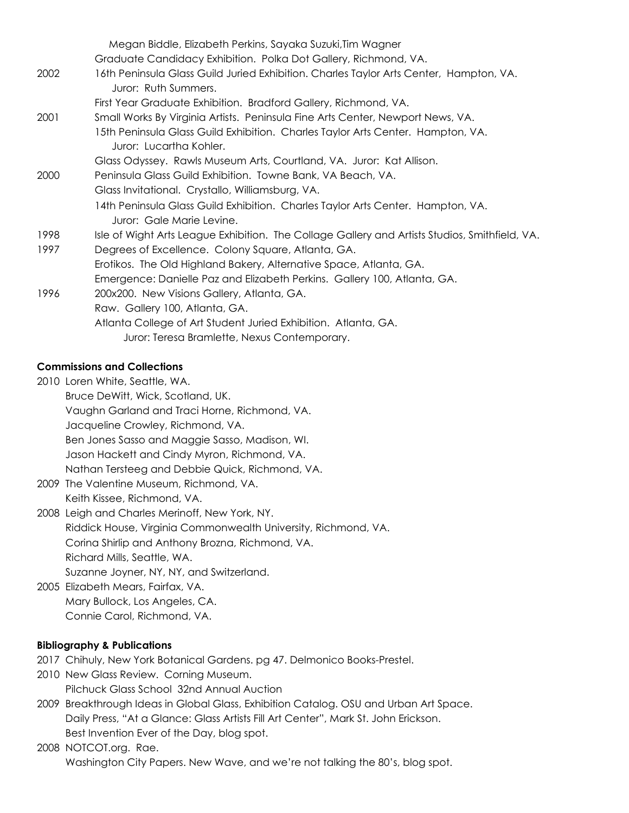|      | Megan Biddle, Elizabeth Perkins, Sayaka Suzuki, Tim Wagner                                                     |
|------|----------------------------------------------------------------------------------------------------------------|
|      | Graduate Candidacy Exhibition. Polka Dot Gallery, Richmond, VA.                                                |
| 2002 | 16th Peninsula Glass Guild Juried Exhibition. Charles Taylor Arts Center, Hampton, VA.<br>Juror: Ruth Summers. |
|      | First Year Graduate Exhibition. Bradford Gallery, Richmond, VA.                                                |
| 2001 | Small Works By Virginia Artists. Peninsula Fine Arts Center, Newport News, VA.                                 |
|      | 15th Peninsula Glass Guild Exhibition. Charles Taylor Arts Center. Hampton, VA.<br>Juror: Lucartha Kohler.     |
|      | Glass Odyssey. Rawls Museum Arts, Courtland, VA. Juror: Kat Allison.                                           |
| 2000 | Peninsula Glass Guild Exhibition. Towne Bank, VA Beach, VA.                                                    |
|      | Glass Invitational. Crystallo, Williamsburg, VA.                                                               |
|      | 14th Peninsula Glass Guild Exhibition. Charles Taylor Arts Center. Hampton, VA.<br>Juror: Gale Marie Levine.   |
| 1998 | Isle of Wight Arts League Exhibition. The Collage Gallery and Artists Studios, Smithfield, VA.                 |
| 1997 | Degrees of Excellence. Colony Square, Atlanta, GA.                                                             |
|      | Erotikos. The Old Highland Bakery, Alternative Space, Atlanta, GA.                                             |
|      | Emergence: Danielle Paz and Elizabeth Perkins. Gallery 100, Atlanta, GA.                                       |
| 1996 | 200x200. New Visions Gallery, Atlanta, GA.                                                                     |
|      | Raw. Gallery 100, Atlanta, GA.                                                                                 |
|      | Atlanta College of Art Student Juried Exhibition. Atlanta, GA.                                                 |
|      | Juror: Teresa Bramlette, Nexus Contemporary.                                                                   |

## **Commissions and Collections**

2010 Loren White, Seattle, WA. Bruce DeWitt, Wick, Scotland, UK. Vaughn Garland and Traci Horne, Richmond, VA. Jacqueline Crowley, Richmond, VA. Ben Jones Sasso and Maggie Sasso, Madison, WI. Jason Hackett and Cindy Myron, Richmond, VA. Nathan Tersteeg and Debbie Quick, Richmond, VA.

2009 The Valentine Museum, Richmond, VA. Keith Kissee, Richmond, VA.

2008 Leigh and Charles Merinoff, New York, NY. Riddick House, Virginia Commonwealth University, Richmond, VA. Corina Shirlip and Anthony Brozna, Richmond, VA. Richard Mills, Seattle, WA. Suzanne Joyner, NY, NY, and Switzerland.

2005 Elizabeth Mears, Fairfax, VA. Mary Bullock, Los Angeles, CA. Connie Carol, Richmond, VA.

# **Bibliography & Publications**

- 2017 Chihuly, New York Botanical Gardens. pg 47. Delmonico Books-Prestel.
- 2010 New Glass Review. Corning Museum. Pilchuck Glass School 32nd Annual Auction
- 2009 Breakthrough Ideas in Global Glass, Exhibition Catalog. OSU and Urban Art Space. Daily Press, "At a Glance: Glass Artists Fill Art Center", Mark St. John Erickson. Best Invention Ever of the Day, blog spot.
- 2008 NOTCOT.org. Rae. Washington City Papers. New Wave, and we're not talking the 80's, blog spot.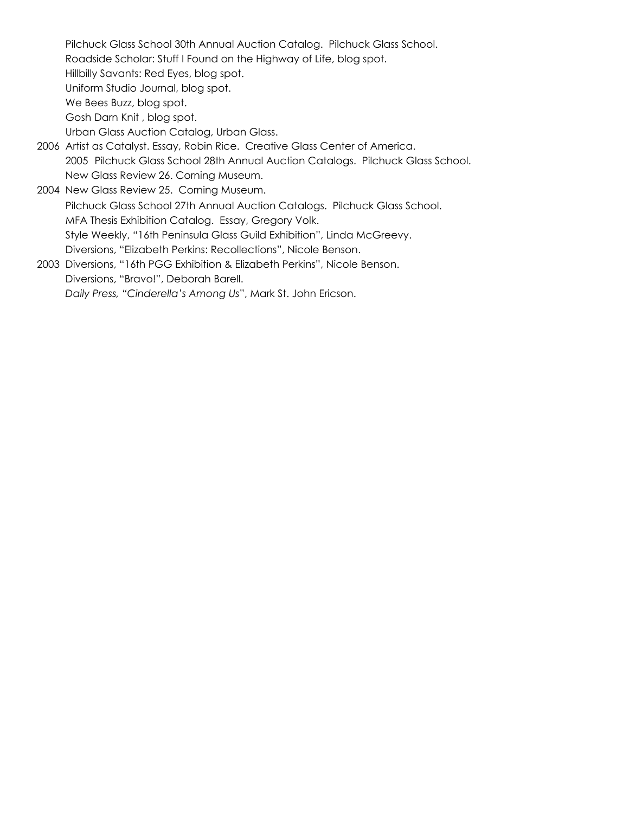Pilchuck Glass School 30th Annual Auction Catalog. Pilchuck Glass School. Roadside Scholar: Stuff I Found on the Highway of Life, blog spot. Hillbilly Savants: Red Eyes, blog spot. Uniform Studio Journal, blog spot. We Bees Buzz, blog spot. Gosh Darn Knit , blog spot. Urban Glass Auction Catalog, Urban Glass. 2006 Artist as Catalyst. Essay, Robin Rice. Creative Glass Center of America. 2005 Pilchuck Glass School 28th Annual Auction Catalogs. Pilchuck Glass School. New Glass Review 26. Corning Museum. 2004 New Glass Review 25. Corning Museum. Pilchuck Glass School 27th Annual Auction Catalogs. Pilchuck Glass School. MFA Thesis Exhibition Catalog. Essay, Gregory Volk. Style Weekly, "16th Peninsula Glass Guild Exhibition", Linda McGreevy. Diversions, "Elizabeth Perkins: Recollections", Nicole Benson.

2003 Diversions, "16th PGG Exhibition & Elizabeth Perkins", Nicole Benson. Diversions, "Bravo!", Deborah Barell. *Daily Press, "Cinderella's Among Us*", Mark St. John Ericson.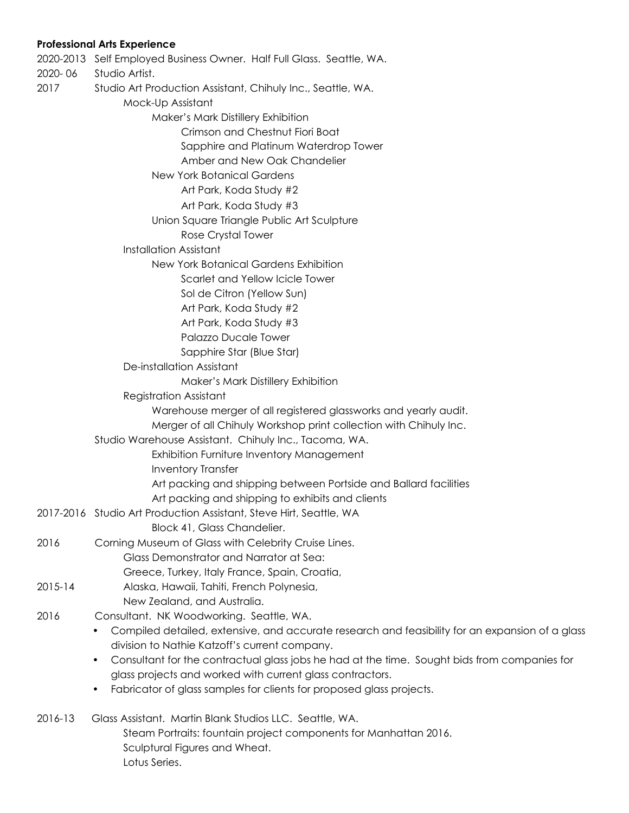## **Professional Arts Experience**

| 2020-06     | 2020-2013 Self Employed Business Owner. Half Full Glass. Seattle, WA.<br>Studio Artist.                      |
|-------------|--------------------------------------------------------------------------------------------------------------|
| 2017        | Studio Art Production Assistant, Chihuly Inc., Seattle, WA.                                                  |
|             | Mock-Up Assistant                                                                                            |
|             | Maker's Mark Distillery Exhibition                                                                           |
|             | Crimson and Chestnut Fiori Boat                                                                              |
|             | Sapphire and Platinum Waterdrop Tower                                                                        |
|             | Amber and New Oak Chandelier                                                                                 |
|             | <b>New York Botanical Gardens</b>                                                                            |
|             | Art Park, Koda Study #2                                                                                      |
|             | Art Park, Koda Study #3                                                                                      |
|             | Union Square Triangle Public Art Sculpture                                                                   |
|             | Rose Crystal Tower                                                                                           |
|             | <b>Installation Assistant</b>                                                                                |
|             | New York Botanical Gardens Exhibition                                                                        |
|             | Scarlet and Yellow Icicle Tower                                                                              |
|             | Sol de Citron (Yellow Sun)                                                                                   |
|             | Art Park, Koda Study #2                                                                                      |
|             | Art Park, Koda Study #3                                                                                      |
|             | <b>Palazzo Ducale Tower</b>                                                                                  |
|             | Sapphire Star (Blue Star)                                                                                    |
|             | De-installation Assistant                                                                                    |
|             | Maker's Mark Distillery Exhibition                                                                           |
|             | <b>Registration Assistant</b>                                                                                |
|             | Warehouse merger of all registered glassworks and yearly audit.                                              |
|             | Merger of all Chihuly Workshop print collection with Chihuly Inc.                                            |
|             | Studio Warehouse Assistant. Chihuly Inc., Tacoma, WA.                                                        |
|             | <b>Exhibition Furniture Inventory Management</b>                                                             |
|             | <b>Inventory Transfer</b>                                                                                    |
|             | Art packing and shipping between Portside and Ballard facilities                                             |
|             | Art packing and shipping to exhibits and clients                                                             |
|             | 2017-2016   Studio Art Production Assistant, Steve Hirt, Seattle, WA                                         |
|             | Block 41, Glass Chandelier.                                                                                  |
| 2016        | Corning Museum of Glass with Celebrity Cruise Lines.                                                         |
|             | Glass Demonstrator and Narrator at Sea:                                                                      |
|             | Greece, Turkey, Italy France, Spain, Croatia,                                                                |
| $2015 - 14$ | Alaska, Hawaii, Tahiti, French Polynesia,                                                                    |
|             | New Zealand, and Australia.                                                                                  |
| 2016        | Consultant. NK Woodworking. Seattle, WA.                                                                     |
|             | Compiled detailed, extensive, and accurate research and feasibility for an expansion of a glass<br>$\bullet$ |
|             | division to Nathie Katzoff's current company.                                                                |
|             | Consultant for the contractual glass jobs he had at the time. Sought bids from companies for<br>$\bullet$    |
|             | glass projects and worked with current glass contractors.                                                    |
|             | Fabricator of glass samples for clients for proposed glass projects.<br>$\bullet$                            |
| 2016-13     | Glass Assistant. Martin Blank Studios LLC. Seattle, WA.                                                      |
|             | Steam Portraits: fountain project components for Manhattan 2016.                                             |
|             | Sculptural Figures and Wheat.                                                                                |
|             | $\sim$ + $\sim$ $\sim$ $\sim$ $\sim$ $\sim$ $\sim$                                                           |

Lotus Series.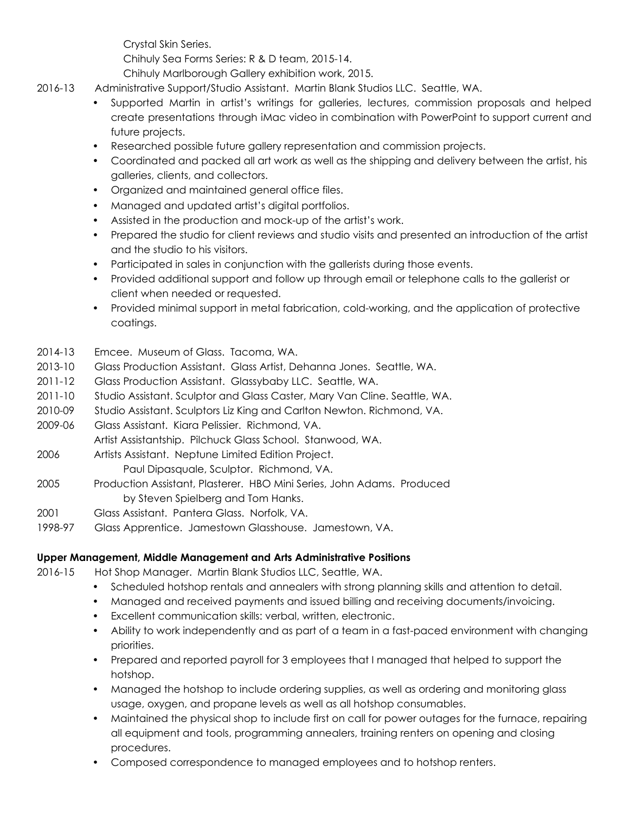Crystal Skin Series.

Chihuly Sea Forms Series: R & D team, 2015-14.

Chihuly Marlborough Gallery exhibition work, 2015.

- 2016-13 Administrative Support/Studio Assistant. Martin Blank Studios LLC. Seattle, WA.
	- Supported Martin in artist's writings for galleries, lectures, commission proposals and helped create presentations through iMac video in combination with PowerPoint to support current and future projects.
	- Researched possible future gallery representation and commission projects.
	- Coordinated and packed all art work as well as the shipping and delivery between the artist, his galleries, clients, and collectors.
	- Organized and maintained general office files.
	- Managed and updated artist's digital portfolios.
	- Assisted in the production and mock-up of the artist's work.
	- Prepared the studio for client reviews and studio visits and presented an introduction of the artist and the studio to his visitors.
	- Participated in sales in conjunction with the gallerists during those events.
	- Provided additional support and follow up through email or telephone calls to the gallerist or client when needed or requested.
	- Provided minimal support in metal fabrication, cold-working, and the application of protective coatings.

## 2014-13 Emcee. Museum of Glass. Tacoma, WA.

- 2013-10 Glass Production Assistant. Glass Artist, Dehanna Jones. Seattle, WA.
- 2011-12 Glass Production Assistant. Glassybaby LLC. Seattle, WA.
- 2011-10 Studio Assistant. Sculptor and Glass Caster, Mary Van Cline. Seattle, WA.
- 2010-09 Studio Assistant. Sculptors Liz King and Carlton Newton. Richmond, VA.
- 2009-06 Glass Assistant. Kiara Pelissier. Richmond, VA.
- Artist Assistantship. Pilchuck Glass School. Stanwood, WA.
- 2006 Artists Assistant. Neptune Limited Edition Project.
	- Paul Dipasquale, Sculptor. Richmond, VA.
- 2005 Production Assistant, Plasterer. HBO Mini Series, John Adams. Produced by Steven Spielberg and Tom Hanks.
- 2001 Glass Assistant. Pantera Glass. Norfolk, VA.
- 1998-97 Glass Apprentice. Jamestown Glasshouse. Jamestown, VA.

## **Upper Management, Middle Management and Arts Administrative Positions**

2016-15 Hot Shop Manager. Martin Blank Studios LLC, Seattle, WA.

- Scheduled hotshop rentals and annealers with strong planning skills and attention to detail.
- Managed and received payments and issued billing and receiving documents/invoicing.
- Excellent communication skills: verbal, written, electronic.
- Ability to work independently and as part of a team in a fast-paced environment with changing priorities.
- Prepared and reported payroll for 3 employees that I managed that helped to support the hotshop.
- Managed the hotshop to include ordering supplies, as well as ordering and monitoring glass usage, oxygen, and propane levels as well as all hotshop consumables.
- Maintained the physical shop to include first on call for power outages for the furnace, repairing all equipment and tools, programming annealers, training renters on opening and closing procedures.
- Composed correspondence to managed employees and to hotshop renters.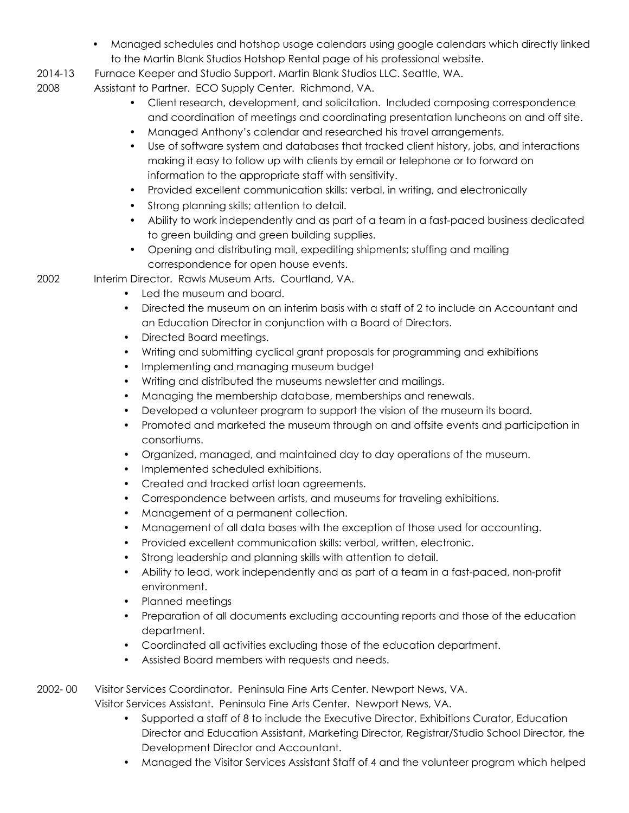- Managed schedules and hotshop usage calendars using google calendars which directly linked to the Martin Blank Studios Hotshop Rental page of his professional website.
- 2014-13 Furnace Keeper and Studio Support. Martin Blank Studios LLC. Seattle, WA.
- 2008 Assistant to Partner. ECO Supply Center. Richmond, VA.
	- Client research, development, and solicitation. Included composing correspondence and coordination of meetings and coordinating presentation luncheons on and off site.
	- Managed Anthony's calendar and researched his travel arrangements.
	- Use of software system and databases that tracked client history, jobs, and interactions making it easy to follow up with clients by email or telephone or to forward on information to the appropriate staff with sensitivity.
	- Provided excellent communication skills: verbal, in writing, and electronically
	- Strong planning skills; attention to detail.
	- Ability to work independently and as part of a team in a fast-paced business dedicated to green building and green building supplies.
	- Opening and distributing mail, expediting shipments; stuffing and mailing correspondence for open house events.

2002 Interim Director. Rawls Museum Arts. Courtland, VA.

- Led the museum and board.
- Directed the museum on an interim basis with a staff of 2 to include an Accountant and an Education Director in conjunction with a Board of Directors.
- Directed Board meetings.
- Writing and submitting cyclical grant proposals for programming and exhibitions
- Implementing and managing museum budget
- Writing and distributed the museums newsletter and mailings.
- Managing the membership database, memberships and renewals.
- Developed a volunteer program to support the vision of the museum its board.
- Promoted and marketed the museum through on and offsite events and participation in consortiums.
- Organized, managed, and maintained day to day operations of the museum.
- Implemented scheduled exhibitions.
- Created and tracked artist loan agreements.
- Correspondence between artists, and museums for traveling exhibitions.
- Management of a permanent collection.
- Management of all data bases with the exception of those used for accounting.
- Provided excellent communication skills: verbal, written, electronic.
- Strong leadership and planning skills with attention to detail.
- Ability to lead, work independently and as part of a team in a fast-paced, non-profit environment.
- Planned meetings
- Preparation of all documents excluding accounting reports and those of the education department.
- Coordinated all activities excluding those of the education department.
- Assisted Board members with requests and needs.

2002- 00 Visitor Services Coordinator. Peninsula Fine Arts Center. Newport News, VA.

Visitor Services Assistant. Peninsula Fine Arts Center. Newport News, VA.

- Supported a staff of 8 to include the Executive Director, Exhibitions Curator, Education Director and Education Assistant, Marketing Director, Registrar/Studio School Director, the Development Director and Accountant.
- Managed the Visitor Services Assistant Staff of 4 and the volunteer program which helped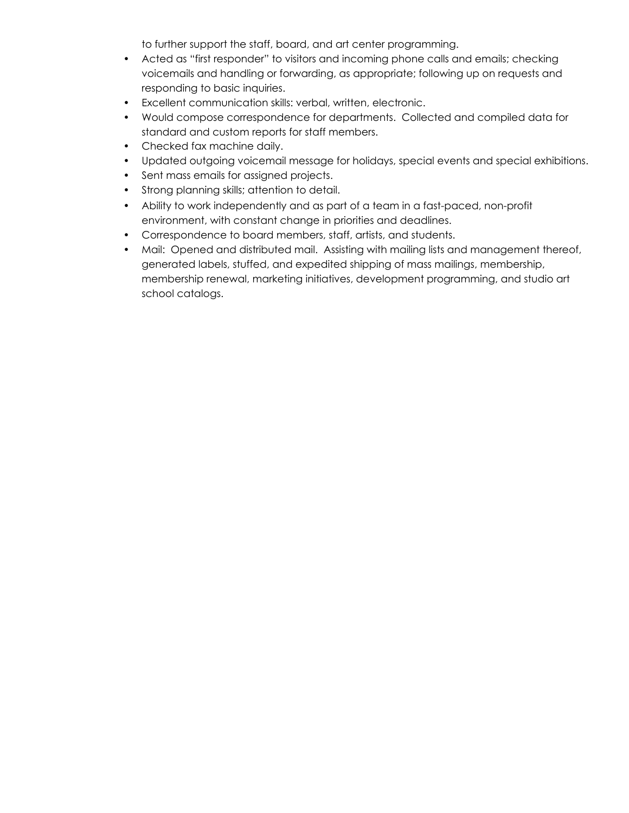to further support the staff, board, and art center programming.

- Acted as "first responder" to visitors and incoming phone calls and emails; checking voicemails and handling or forwarding, as appropriate; following up on requests and responding to basic inquiries.
- Excellent communication skills: verbal, written, electronic.
- Would compose correspondence for departments. Collected and compiled data for standard and custom reports for staff members.
- Checked fax machine daily.
- Updated outgoing voicemail message for holidays, special events and special exhibitions.
- Sent mass emails for assigned projects.
- Strong planning skills; attention to detail.
- Ability to work independently and as part of a team in a fast-paced, non-profit environment, with constant change in priorities and deadlines.
- Correspondence to board members, staff, artists, and students.
- Mail: Opened and distributed mail. Assisting with mailing lists and management thereof, generated labels, stuffed, and expedited shipping of mass mailings, membership, membership renewal, marketing initiatives, development programming, and studio art school catalogs.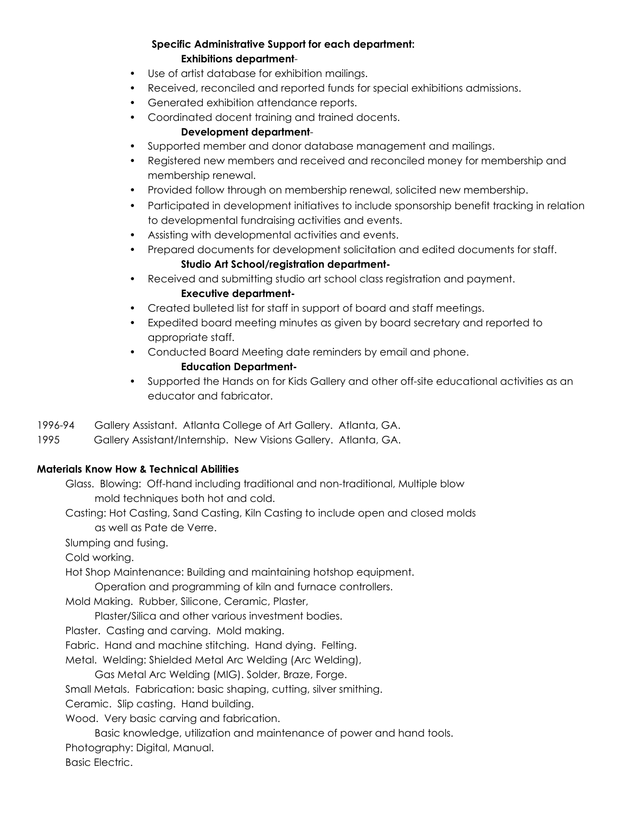## **Specific Administrative Support for each department: Exhibitions department**-

- Use of artist database for exhibition mailings.
- Received, reconciled and reported funds for special exhibitions admissions.
- Generated exhibition attendance reports.
- Coordinated docent training and trained docents.

## **Development department**-

- Supported member and donor database management and mailings.
- Registered new members and received and reconciled money for membership and membership renewal.
- Provided follow through on membership renewal, solicited new membership.
- Participated in development initiatives to include sponsorship benefit tracking in relation to developmental fundraising activities and events.
- Assisting with developmental activities and events.
- Prepared documents for development solicitation and edited documents for staff. **Studio Art School/registration department-**
- Received and submitting studio art school class registration and payment. **Executive department-**
- Created bulleted list for staff in support of board and staff meetings.
- Expedited board meeting minutes as given by board secretary and reported to appropriate staff.
- Conducted Board Meeting date reminders by email and phone. **Education Department-**
- Supported the Hands on for Kids Gallery and other off-site educational activities as an educator and fabricator.
- 1996-94 Gallery Assistant. Atlanta College of Art Gallery. Atlanta, GA.
- 1995 Gallery Assistant/Internship. New Visions Gallery. Atlanta, GA.

### **Materials Know How & Technical Abilities**

Glass. Blowing: Off-hand including traditional and non-traditional, Multiple blow mold techniques both hot and cold.

Casting: Hot Casting, Sand Casting, Kiln Casting to include open and closed molds as well as Pate de Verre.

Slumping and fusing.

Cold working.

Hot Shop Maintenance: Building and maintaining hotshop equipment.

Operation and programming of kiln and furnace controllers.

Mold Making. Rubber, Silicone, Ceramic, Plaster,

Plaster/Silica and other various investment bodies.

Plaster. Casting and carving. Mold making.

Fabric. Hand and machine stitching. Hand dying. Felting.

Metal. Welding: Shielded Metal Arc Welding (Arc Welding),

Gas Metal Arc Welding (MIG). Solder, Braze, Forge.

Small Metals. Fabrication: basic shaping, cutting, silver smithing.

Ceramic. Slip casting. Hand building.

Wood. Very basic carving and fabrication.

Basic knowledge, utilization and maintenance of power and hand tools. Photography: Digital, Manual.

Basic Electric.